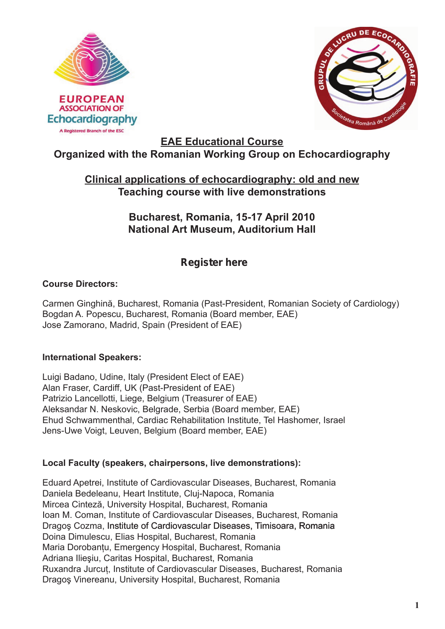



**EAE Educational Course**

# **Organized with the Romanian Working Group on Echocardiography**

## **Clinical applications of echocardiography: old and new Teaching course with live demonstrations**

## **Bucharest, Romania, 15-17 April 2010 National Art Museum, Auditorium Hall**

# **[Register here](http://www.escardio.org/communities/EAE/congress-meetings/Documents/registration-form-course-bucharest-2010.doc)**

### **Course Directors:**

Carmen Ginghină, Bucharest, Romania (Past-President, Romanian Society of Cardiology) Bogdan A. Popescu, Bucharest, Romania (Board member, EAE) Jose Zamorano, Madrid, Spain (President of EAE)

### **International Speakers:**

Luigi Badano, Udine, Italy (President Elect of EAE) Alan Fraser, Cardiff, UK (Past-President of EAE) Patrizio Lancellotti, Liege, Belgium (Treasurer of EAE) Aleksandar N. Neskovic, Belgrade, Serbia (Board member, EAE) Ehud Schwammenthal, Cardiac Rehabilitation Institute, Tel Hashomer, Israel Jens-Uwe Voigt, Leuven, Belgium (Board member, EAE)

### **Local Faculty (speakers, chairpersons, live demonstrations):**

Eduard Apetrei, Institute of Cardiovascular Diseases, Bucharest, Romania Daniela Bedeleanu, Heart Institute, Cluj-Napoca, Romania Mircea Cinteză, University Hospital, Bucharest, Romania Ioan M. Coman, Institute of Cardiovascular Diseases, Bucharest, Romania Dragoş Cozma, Institute of Cardiovascular Diseases, Timisoara, Romania Doina Dimulescu, Elias Hospital, Bucharest, Romania Maria Dorobantu, Emergency Hospital, Bucharest, Romania Adriana Ilieşiu, Caritas Hospital, Bucharest, Romania Ruxandra Jurcuţ, Institute of Cardiovascular Diseases, Bucharest, Romania Dragoş Vinereanu, University Hospital, Bucharest, Romania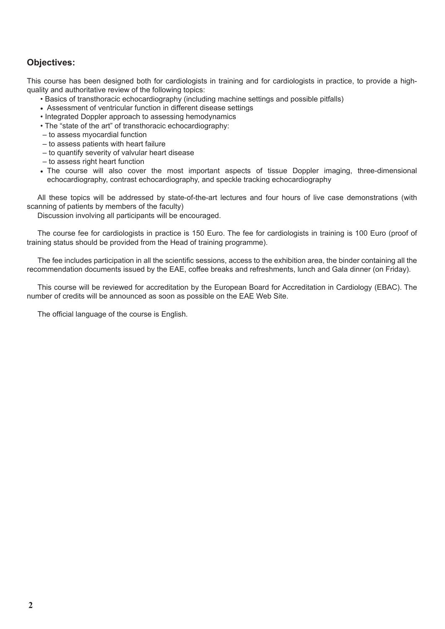#### **Objectives:**

This course has been designed both for cardiologists in training and for cardiologists in practice, to provide a highquality and authoritative review of the following topics:

- Basics of transthoracic echocardiography (including machine settings and possible pitfalls)
- Assessment of ventricular function in different disease settings
- Integrated Doppler approach to assessing hemodynamics
- The "state of the art" of transthoracic echocardiography:
- to assess myocardial function
- to assess patients with heart failure
- to quantify severity of valvular heart disease
- to assess right heart function
- The course will also cover the most important aspects of tissue Doppler imaging, three-dimensional echocardiography, contrast echocardiography, and speckle tracking echocardiography

All these topics will be addressed by state-of-the-art lectures and four hours of live case demonstrations (with scanning of patients by members of the faculty)

Discussion involving all participants will be encouraged.

The course fee for cardiologists in practice is 150 Euro. The fee for cardiologists in training is 100 Euro (proof of training status should be provided from the Head of training programme).

The fee includes participation in all the scientific sessions, access to the exhibition area, the binder containing all the recommendation documents issued by the EAE, coffee breaks and refreshments, lunch and Gala dinner (on Friday).

This course will be reviewed for accreditation by the European Board for Accreditation in Cardiology (EBAC). The number of credits will be announced as soon as possible on the EAE Web Site.

The official language of the course is English.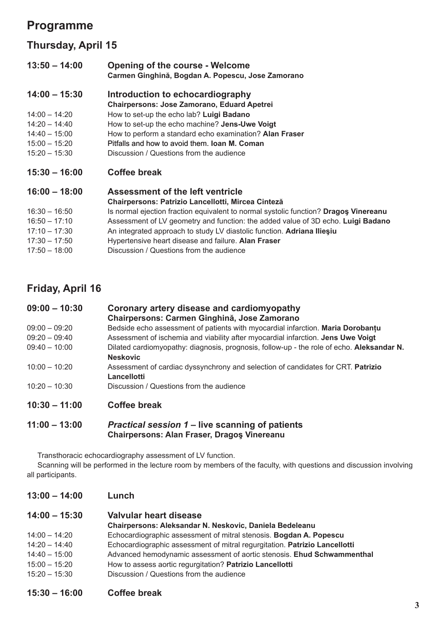# **Programme**

## **Thursday, April 15**

| $13:50 - 14:00$ | <b>Opening of the course - Welcome</b><br>Carmen Ginghină, Bogdan A. Popescu, Jose Zamorano |
|-----------------|---------------------------------------------------------------------------------------------|
| $14:00 - 15:30$ | Introduction to echocardiography                                                            |
|                 | <b>Chairpersons: Jose Zamorano, Eduard Apetrei</b>                                          |
| $14:00 - 14:20$ | How to set-up the echo lab? Luigi Badano                                                    |
| $14:20 - 14:40$ | How to set-up the echo machine? Jens-Uwe Voigt                                              |
| $14:40 - 15:00$ | How to perform a standard echo examination? Alan Fraser                                     |
| $15:00 - 15:20$ | Pitfalls and how to avoid them. <b>Joan M. Coman</b>                                        |
| $15:20 - 15:30$ | Discussion / Questions from the audience                                                    |
| $15:30 - 16:00$ | Coffee break                                                                                |
| $16:00 - 18:00$ | <b>Assessment of the left ventricle</b>                                                     |
|                 | Chairpersons: Patrizio Lancellotti, Mircea Cinteză                                          |
| $16:30 - 16:50$ | Is normal ejection fraction equivalent to normal systolic function? Dragos Vinereanu        |
| $16:50 - 17:10$ | Assessment of LV geometry and function: the added value of 3D echo. Luigi Badano            |
| $17:10 - 17:30$ | An integrated approach to study LV diastolic function. Adriana Iliesiu                      |
| $17:30 - 17:50$ | Hypertensive heart disease and failure. Alan Fraser                                         |
| $17:50 - 18:00$ | Discussion / Questions from the audience                                                    |
|                 |                                                                                             |

## **Friday, April 16**

| $09:00 - 10:30$ | Coronary artery disease and cardiomyopathy<br>Chairpersons: Carmen Ginghină, Jose Zamorano      |
|-----------------|-------------------------------------------------------------------------------------------------|
| $09:00 - 09:20$ | Bedside echo assessment of patients with myocardial infarction. Maria Dorobantu                 |
| $09:20 - 09:40$ | Assessment of ischemia and viability after myocardial infarction. Jens Uwe Voigt                |
| $09:40 - 10:00$ | Dilated cardiomyopathy: diagnosis, prognosis, follow-up - the role of echo. Aleksandar N.       |
|                 | <b>Neskovic</b>                                                                                 |
| $10:00 - 10:20$ | Assessment of cardiac dyssynchrony and selection of candidates for CRT. Patrizio<br>Lancellotti |
| $10:20 - 10:30$ | Discussion / Questions from the audience                                                        |
| $10:30 - 11:00$ | Coffee break                                                                                    |

#### **11:00 – 13:00** *Practical session 1* **– live scanning of patients Chairpersons: Alan Fraser, Dragoş Vinereanu**

Transthoracic echocardiography assessment of LV function.

Scanning will be performed in the lecture room by members of the faculty, with questions and discussion involving all participants.

| $13:00 - 14:00$ | Lunch |  |
|-----------------|-------|--|
|-----------------|-------|--|

| $14:00 - 15:30$ | Valvular heart disease                                                     |
|-----------------|----------------------------------------------------------------------------|
|                 | Chairpersons: Aleksandar N. Neskovic, Daniela Bedeleanu                    |
| $14:00 - 14:20$ | Echocardiographic assessment of mitral stenosis. Bogdan A. Popescu         |
| $14:20 - 14:40$ | Echocardiographic assessment of mitral regurgitation. Patrizio Lancellotti |
| $14:40 - 15:00$ | Advanced hemodynamic assessment of aortic stenosis. Ehud Schwammenthal     |
| $15:00 - 15:20$ | How to assess aortic regurgitation? Patrizio Lancellotti                   |
| $15:20 - 15:30$ | Discussion / Questions from the audience                                   |

**15:30 – 16:00 Coffee break**